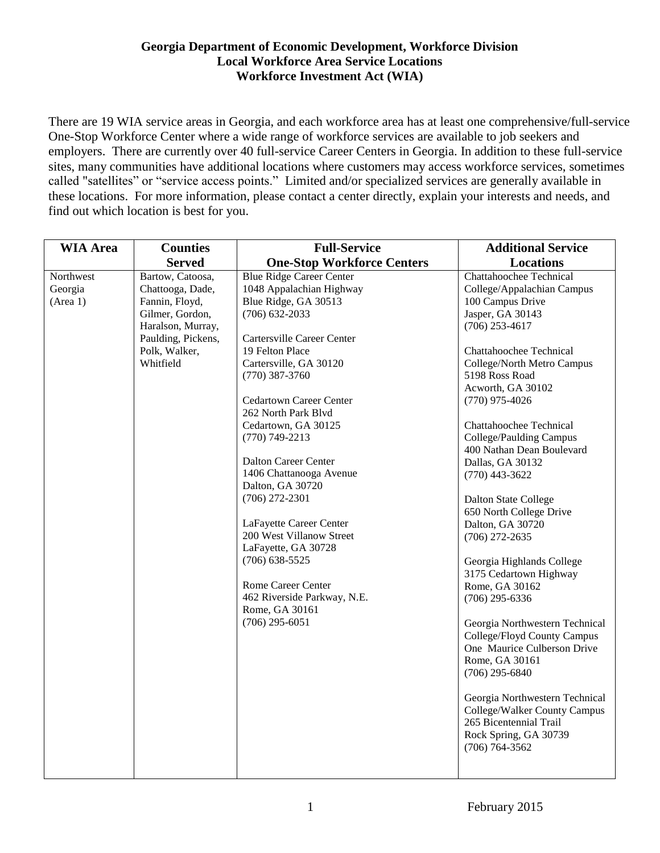There are 19 WIA service areas in Georgia, and each workforce area has at least one comprehensive/full-service One-Stop Workforce Center where a wide range of workforce services are available to job seekers and employers. There are currently over 40 full-service Career Centers in Georgia. In addition to these full-service sites, many communities have additional locations where customers may access workforce services, sometimes called "satellites" or "service access points." Limited and/or specialized services are generally available in these locations. For more information, please contact a center directly, explain your interests and needs, and find out which location is best for you.

| <b>WIA Area</b>                  | <b>Counties</b>                                                                                                                                    | <b>Full-Service</b>                                                                                                                                                                                                                                                                                                                                                                                                                                                                                                                                                                                | <b>Additional Service</b>                                                                                                                                                                                                                                                                                                                                                                                                                                                                                                                                                                                                                                                                                                                                                             |
|----------------------------------|----------------------------------------------------------------------------------------------------------------------------------------------------|----------------------------------------------------------------------------------------------------------------------------------------------------------------------------------------------------------------------------------------------------------------------------------------------------------------------------------------------------------------------------------------------------------------------------------------------------------------------------------------------------------------------------------------------------------------------------------------------------|---------------------------------------------------------------------------------------------------------------------------------------------------------------------------------------------------------------------------------------------------------------------------------------------------------------------------------------------------------------------------------------------------------------------------------------------------------------------------------------------------------------------------------------------------------------------------------------------------------------------------------------------------------------------------------------------------------------------------------------------------------------------------------------|
|                                  | <b>Served</b>                                                                                                                                      | <b>One-Stop Workforce Centers</b>                                                                                                                                                                                                                                                                                                                                                                                                                                                                                                                                                                  | <b>Locations</b>                                                                                                                                                                                                                                                                                                                                                                                                                                                                                                                                                                                                                                                                                                                                                                      |
| Northwest<br>Georgia<br>(Area 1) | Bartow, Catoosa,<br>Chattooga, Dade,<br>Fannin, Floyd,<br>Gilmer, Gordon,<br>Haralson, Murray,<br>Paulding, Pickens,<br>Polk, Walker,<br>Whitfield | <b>Blue Ridge Career Center</b><br>1048 Appalachian Highway<br>Blue Ridge, GA 30513<br>$(706)$ 632-2033<br>Cartersville Career Center<br>19 Felton Place<br>Cartersville, GA 30120<br>$(770)$ 387-3760<br><b>Cedartown Career Center</b><br>262 North Park Blvd<br>Cedartown, GA 30125<br>$(770)$ 749-2213<br>Dalton Career Center<br>1406 Chattanooga Avenue<br>Dalton, GA 30720<br>$(706)$ 272-2301<br>LaFayette Career Center<br>200 West Villanow Street<br>LaFayette, GA 30728<br>$(706)$ 638-5525<br>Rome Career Center<br>462 Riverside Parkway, N.E.<br>Rome, GA 30161<br>$(706)$ 295-6051 | Chattahoochee Technical<br>College/Appalachian Campus<br>100 Campus Drive<br>Jasper, GA 30143<br>$(706)$ 253-4617<br><b>Chattahoochee Technical</b><br>College/North Metro Campus<br>5198 Ross Road<br>Acworth, GA 30102<br>$(770)$ 975-4026<br><b>Chattahoochee Technical</b><br>College/Paulding Campus<br>400 Nathan Dean Boulevard<br>Dallas, GA 30132<br>$(770)$ 443-3622<br><b>Dalton State College</b><br>650 North College Drive<br>Dalton, GA 30720<br>$(706)$ 272-2635<br>Georgia Highlands College<br>3175 Cedartown Highway<br>Rome, GA 30162<br>$(706)$ 295-6336<br>Georgia Northwestern Technical<br>College/Floyd County Campus<br>One Maurice Culberson Drive<br>Rome, GA 30161<br>$(706)$ 295-6840<br>Georgia Northwestern Technical<br>College/Walker County Campus |
|                                  |                                                                                                                                                    |                                                                                                                                                                                                                                                                                                                                                                                                                                                                                                                                                                                                    | 265 Bicentennial Trail<br>Rock Spring, GA 30739<br>$(706) 764 - 3562$                                                                                                                                                                                                                                                                                                                                                                                                                                                                                                                                                                                                                                                                                                                 |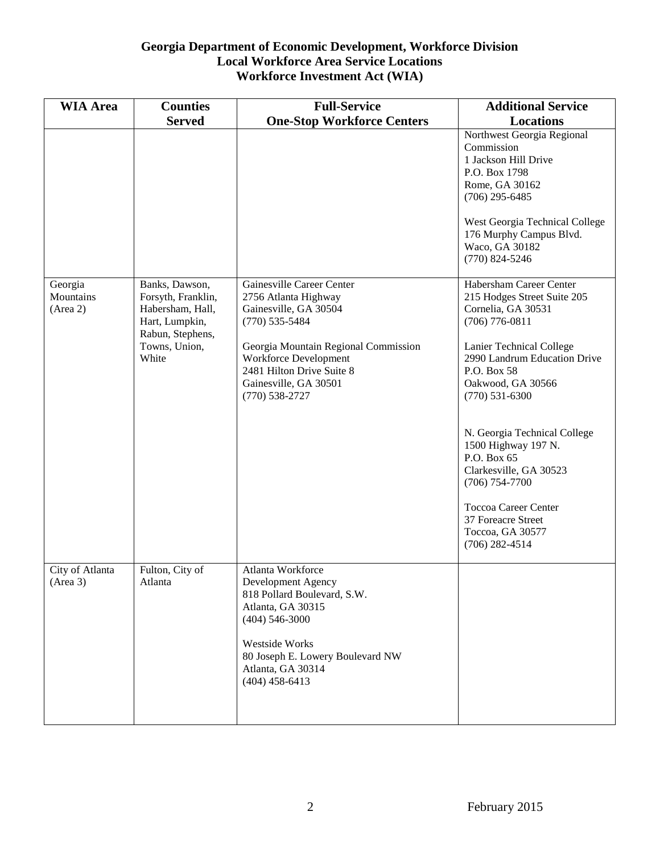| <b>WIA Area</b>                  | <b>Counties</b>                                                                                                          | <b>Full-Service</b>                                                                                                                                                                                                                       | <b>Additional Service</b>                                                                                                                                                                                                                                                                                                                                                                                                                        |
|----------------------------------|--------------------------------------------------------------------------------------------------------------------------|-------------------------------------------------------------------------------------------------------------------------------------------------------------------------------------------------------------------------------------------|--------------------------------------------------------------------------------------------------------------------------------------------------------------------------------------------------------------------------------------------------------------------------------------------------------------------------------------------------------------------------------------------------------------------------------------------------|
|                                  | <b>Served</b>                                                                                                            | <b>One-Stop Workforce Centers</b>                                                                                                                                                                                                         | <b>Locations</b>                                                                                                                                                                                                                                                                                                                                                                                                                                 |
|                                  |                                                                                                                          |                                                                                                                                                                                                                                           | Northwest Georgia Regional<br>Commission<br>1 Jackson Hill Drive<br>P.O. Box 1798<br>Rome, GA 30162<br>$(706)$ 295-6485<br>West Georgia Technical College<br>176 Murphy Campus Blvd.<br>Waco, GA 30182<br>$(770)$ 824-5246                                                                                                                                                                                                                       |
| Georgia<br>Mountains<br>(Area 2) | Banks, Dawson,<br>Forsyth, Franklin,<br>Habersham, Hall,<br>Hart, Lumpkin,<br>Rabun, Stephens,<br>Towns, Union,<br>White | Gainesville Career Center<br>2756 Atlanta Highway<br>Gainesville, GA 30504<br>$(770)$ 535-5484<br>Georgia Mountain Regional Commission<br>Workforce Development<br>2481 Hilton Drive Suite 8<br>Gainesville, GA 30501<br>$(770)$ 538-2727 | Habersham Career Center<br>215 Hodges Street Suite 205<br>Cornelia, GA 30531<br>$(706)$ 776-0811<br><b>Lanier Technical College</b><br>2990 Landrum Education Drive<br>P.O. Box 58<br>Oakwood, GA 30566<br>$(770) 531 - 6300$<br>N. Georgia Technical College<br>1500 Highway 197 N.<br>P.O. Box 65<br>Clarkesville, GA 30523<br>$(706) 754 - 7700$<br><b>Toccoa Career Center</b><br>37 Foreacre Street<br>Toccoa, GA 30577<br>$(706)$ 282-4514 |
| City of Atlanta<br>(Area 3)      | Fulton, City of<br>Atlanta                                                                                               | Atlanta Workforce<br>Development Agency<br>818 Pollard Boulevard, S.W.<br>Atlanta, GA 30315<br>$(404)$ 546-3000<br>Westside Works<br>80 Joseph E. Lowery Boulevard NW<br>Atlanta, GA 30314<br>$(404)$ 458-6413                            |                                                                                                                                                                                                                                                                                                                                                                                                                                                  |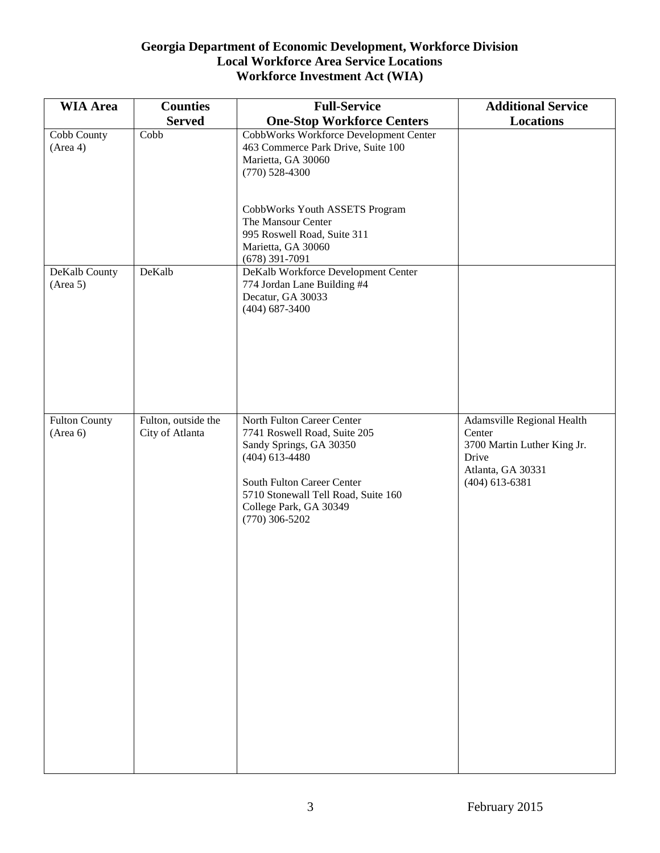| <b>WIA Area</b>                                   | <b>Counties</b>               | <b>Full-Service</b>                                                                                                                                                                            | <b>Additional Service</b>                                                               |
|---------------------------------------------------|-------------------------------|------------------------------------------------------------------------------------------------------------------------------------------------------------------------------------------------|-----------------------------------------------------------------------------------------|
|                                                   | <b>Served</b>                 | <b>One-Stop Workforce Centers</b>                                                                                                                                                              | <b>Locations</b>                                                                        |
| Cobb County<br>(Area 4)                           | Cobb                          | <b>CobbWorks Workforce Development Center</b><br>463 Commerce Park Drive, Suite 100<br>Marietta, GA 30060<br>$(770)$ 528-4300                                                                  |                                                                                         |
|                                                   |                               | CobbWorks Youth ASSETS Program<br>The Mansour Center<br>995 Roswell Road, Suite 311<br>Marietta, GA 30060<br>$(678)$ 391-7091                                                                  |                                                                                         |
| DeKalb County<br>(Area 5)<br><b>Fulton County</b> | DeKalb<br>Fulton, outside the | DeKalb Workforce Development Center<br>774 Jordan Lane Building #4<br>Decatur, GA 30033<br>$(404)$ 687-3400<br>North Fulton Career Center                                                      | Adamsville Regional Health                                                              |
| (Area 6)                                          | City of Atlanta               | 7741 Roswell Road, Suite 205<br>Sandy Springs, GA 30350<br>$(404)$ 613-4480<br>South Fulton Career Center<br>5710 Stonewall Tell Road, Suite 160<br>College Park, GA 30349<br>$(770)$ 306-5202 | Center<br>3700 Martin Luther King Jr.<br>Drive<br>Atlanta, GA 30331<br>$(404)$ 613-6381 |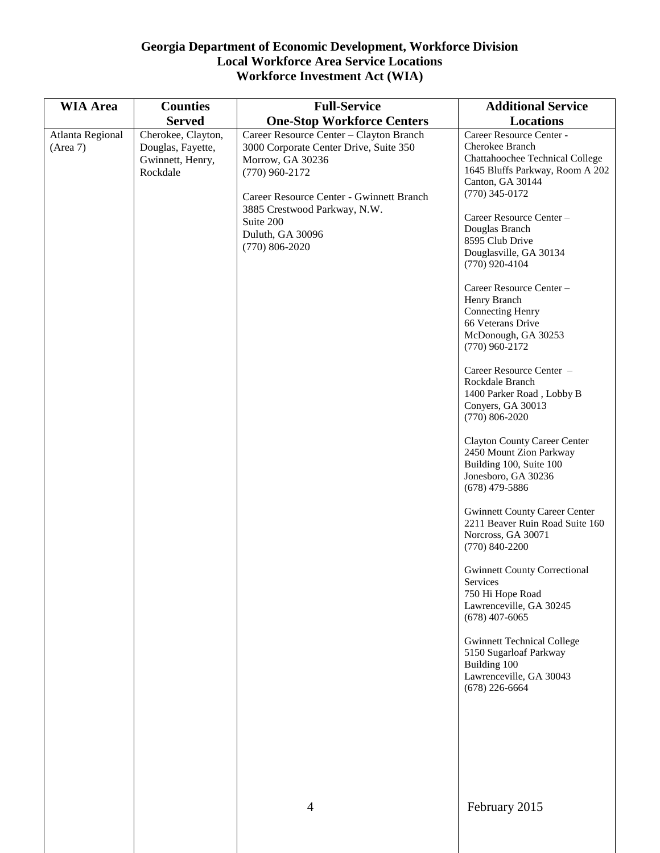| <b>WIA Area</b>              | <b>Counties</b>                                                         | <b>Full-Service</b>                                                                                                                                                                                                                                        | <b>Additional Service</b>                                                                                                                                                                                                                                                                                                                                                                                                                                                                                                                                                                                                                                                                                                                                                                                                                                                                                                                                                                                                                                    |
|------------------------------|-------------------------------------------------------------------------|------------------------------------------------------------------------------------------------------------------------------------------------------------------------------------------------------------------------------------------------------------|--------------------------------------------------------------------------------------------------------------------------------------------------------------------------------------------------------------------------------------------------------------------------------------------------------------------------------------------------------------------------------------------------------------------------------------------------------------------------------------------------------------------------------------------------------------------------------------------------------------------------------------------------------------------------------------------------------------------------------------------------------------------------------------------------------------------------------------------------------------------------------------------------------------------------------------------------------------------------------------------------------------------------------------------------------------|
|                              | <b>Served</b>                                                           | <b>One-Stop Workforce Centers</b>                                                                                                                                                                                                                          | Locations                                                                                                                                                                                                                                                                                                                                                                                                                                                                                                                                                                                                                                                                                                                                                                                                                                                                                                                                                                                                                                                    |
| Atlanta Regional<br>(Area 7) | Cherokee, Clayton,<br>Douglas, Fayette,<br>Gwinnett, Henry,<br>Rockdale | Career Resource Center - Clayton Branch<br>3000 Corporate Center Drive, Suite 350<br>Morrow, GA 30236<br>$(770)$ 960-2172<br>Career Resource Center - Gwinnett Branch<br>3885 Crestwood Parkway, N.W.<br>Suite 200<br>Duluth, GA 30096<br>$(770)$ 806-2020 | Career Resource Center -<br>Cherokee Branch<br><b>Chattahoochee Technical College</b><br>1645 Bluffs Parkway, Room A 202<br>Canton, GA 30144<br>$(770)$ 345-0172<br>Career Resource Center-<br>Douglas Branch<br>8595 Club Drive<br>Douglasville, GA 30134<br>$(770)$ 920-4104<br>Career Resource Center-<br>Henry Branch<br><b>Connecting Henry</b><br>66 Veterans Drive<br>McDonough, GA 30253<br>$(770)$ 960-2172<br>Career Resource Center -<br>Rockdale Branch<br>1400 Parker Road, Lobby B<br>Conyers, GA 30013<br>$(770) 806 - 2020$<br><b>Clayton County Career Center</b><br>2450 Mount Zion Parkway<br>Building 100, Suite 100<br>Jonesboro, GA 30236<br>$(678)$ 479-5886<br><b>Gwinnett County Career Center</b><br>2211 Beaver Ruin Road Suite 160<br>Norcross, GA 30071<br>$(770)$ 840-2200<br><b>Gwinnett County Correctional</b><br>Services<br>750 Hi Hope Road<br>Lawrenceville, GA 30245<br>$(678)$ 407-6065<br><b>Gwinnett Technical College</b><br>5150 Sugarloaf Parkway<br>Building 100<br>Lawrenceville, GA 30043<br>$(678)$ 226-6664 |
|                              |                                                                         | $\overline{4}$                                                                                                                                                                                                                                             | February 2015                                                                                                                                                                                                                                                                                                                                                                                                                                                                                                                                                                                                                                                                                                                                                                                                                                                                                                                                                                                                                                                |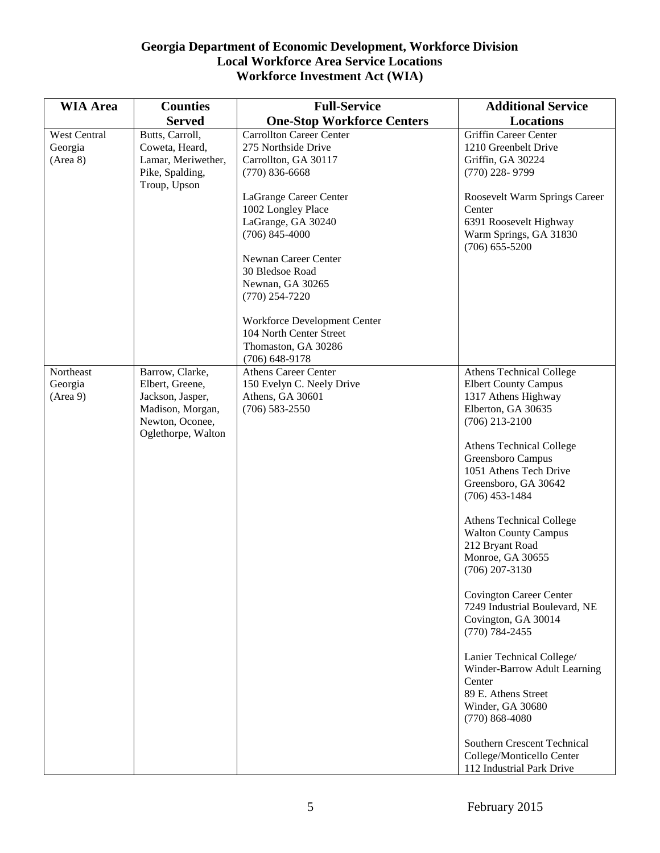| <b>Additional Service</b>                                |
|----------------------------------------------------------|
|                                                          |
|                                                          |
|                                                          |
|                                                          |
|                                                          |
| Roosevelt Warm Springs Career                            |
|                                                          |
| 6391 Roosevelt Highway                                   |
| Warm Springs, GA 31830                                   |
|                                                          |
|                                                          |
|                                                          |
|                                                          |
|                                                          |
|                                                          |
|                                                          |
|                                                          |
| Athens Technical College                                 |
|                                                          |
|                                                          |
|                                                          |
|                                                          |
| Athens Technical College                                 |
|                                                          |
|                                                          |
|                                                          |
|                                                          |
| Athens Technical College                                 |
|                                                          |
|                                                          |
|                                                          |
|                                                          |
|                                                          |
| 7249 Industrial Boulevard, NE                            |
|                                                          |
|                                                          |
| Lanier Technical College/                                |
| Winder-Barrow Adult Learning                             |
|                                                          |
|                                                          |
|                                                          |
|                                                          |
|                                                          |
| Southern Crescent Technical<br>College/Monticello Center |
| 1051 Athens Tech Drive<br><b>Covington Career Center</b> |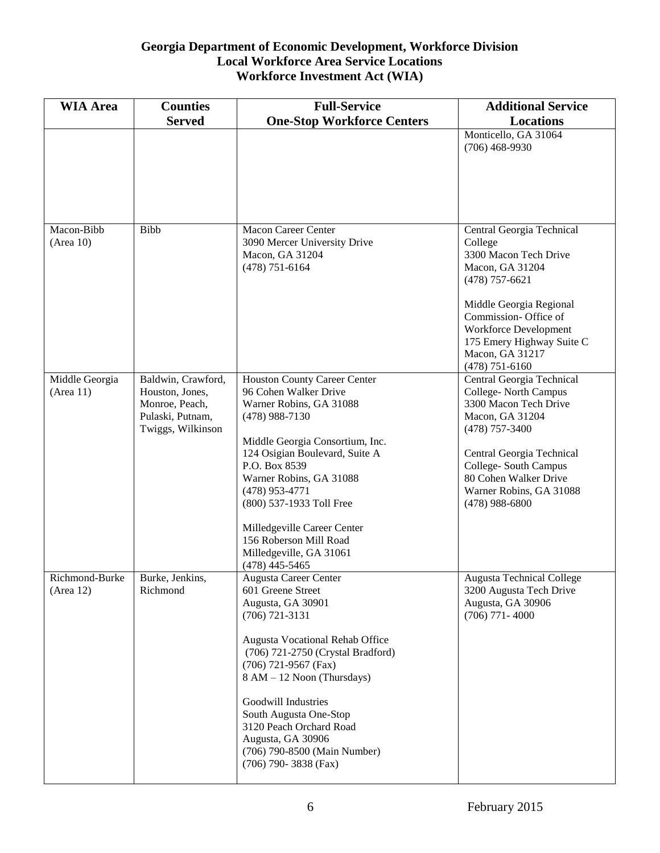| <b>WIA Area</b>                               | <b>Counties</b>                                                                                  | <b>Full-Service</b>                                                                                                                                                                                                                                                                                                                                                            | <b>Additional Service</b>                                                                                                                                                                                                                              |
|-----------------------------------------------|--------------------------------------------------------------------------------------------------|--------------------------------------------------------------------------------------------------------------------------------------------------------------------------------------------------------------------------------------------------------------------------------------------------------------------------------------------------------------------------------|--------------------------------------------------------------------------------------------------------------------------------------------------------------------------------------------------------------------------------------------------------|
|                                               | <b>Served</b>                                                                                    | <b>One-Stop Workforce Centers</b>                                                                                                                                                                                                                                                                                                                                              | Locations                                                                                                                                                                                                                                              |
|                                               |                                                                                                  |                                                                                                                                                                                                                                                                                                                                                                                | Monticello, GA 31064<br>$(706)$ 468-9930                                                                                                                                                                                                               |
| Macon-Bibb<br>(Area 10)                       | <b>Bibb</b>                                                                                      | Macon Career Center<br>3090 Mercer University Drive<br>Macon, GA 31204<br>$(478)$ 751-6164                                                                                                                                                                                                                                                                                     | Central Georgia Technical<br>College<br>3300 Macon Tech Drive<br>Macon, GA 31204<br>$(478)$ 757-6621<br>Middle Georgia Regional<br>Commission-Office of<br>Workforce Development<br>175 Emery Highway Suite C<br>Macon, GA 31217<br>$(478) 751 - 6160$ |
| Middle Georgia<br>(Area 11)                   | Baldwin, Crawford,<br>Houston, Jones,<br>Monroe, Peach,<br>Pulaski, Putnam,<br>Twiggs, Wilkinson | Houston County Career Center<br>96 Cohen Walker Drive<br>Warner Robins, GA 31088<br>$(478)$ 988-7130<br>Middle Georgia Consortium, Inc.<br>124 Osigian Boulevard, Suite A<br>P.O. Box 8539<br>Warner Robins, GA 31088<br>$(478)$ 953-4771<br>(800) 537-1933 Toll Free<br>Milledgeville Career Center<br>156 Roberson Mill Road<br>Milledgeville, GA 31061<br>$(478)$ 445-5465  | Central Georgia Technical<br>College-North Campus<br>3300 Macon Tech Drive<br>Macon, GA 31204<br>$(478)$ 757-3400<br>Central Georgia Technical<br>College-South Campus<br>80 Cohen Walker Drive<br>Warner Robins, GA 31088<br>$(478)$ 988-6800         |
| Richmond-Burke   Burke, Jenkins,<br>(Area 12) | Richmond                                                                                         | Augusta Career Center<br>601 Greene Street<br>Augusta, GA 30901<br>$(706)$ 721-3131<br>Augusta Vocational Rehab Office<br>(706) 721-2750 (Crystal Bradford)<br>$(706)$ 721-9567 (Fax)<br>8 AM - 12 Noon (Thursdays)<br>Goodwill Industries<br>South Augusta One-Stop<br>3120 Peach Orchard Road<br>Augusta, GA 30906<br>(706) 790-8500 (Main Number)<br>$(706)$ 790-3838 (Fax) | <b>Augusta Technical College</b><br>3200 Augusta Tech Drive<br>Augusta, GA 30906<br>$(706)$ 771 - 4000                                                                                                                                                 |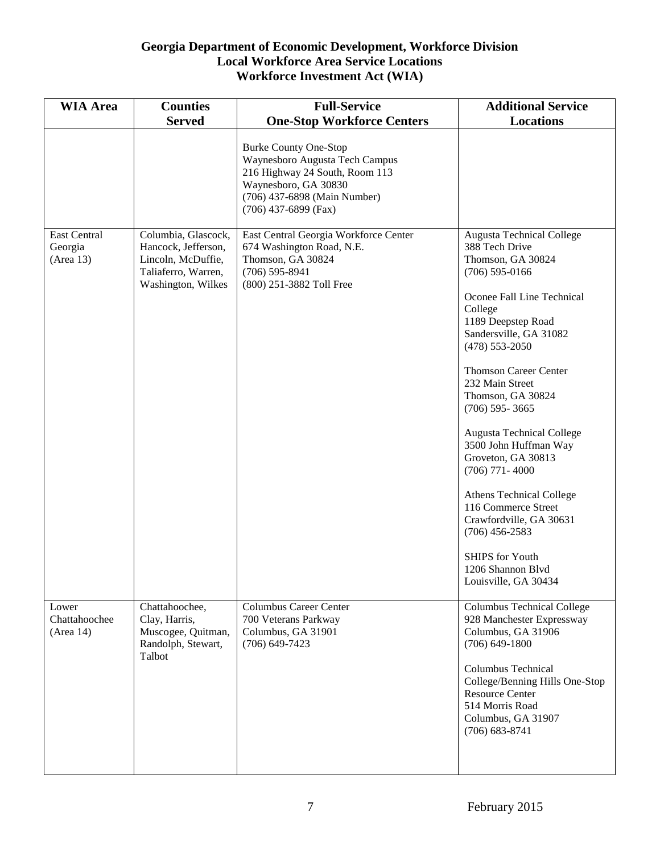| <b>WIA Area</b>                             | <b>Counties</b><br><b>Served</b>                                                                              | <b>Full-Service</b><br><b>One-Stop Workforce Centers</b>                                                                                                                           | <b>Additional Service</b><br><b>Locations</b>                                                                                                                                                                                                                                                                                                                                                                                                                                                                                                                                            |
|---------------------------------------------|---------------------------------------------------------------------------------------------------------------|------------------------------------------------------------------------------------------------------------------------------------------------------------------------------------|------------------------------------------------------------------------------------------------------------------------------------------------------------------------------------------------------------------------------------------------------------------------------------------------------------------------------------------------------------------------------------------------------------------------------------------------------------------------------------------------------------------------------------------------------------------------------------------|
|                                             |                                                                                                               | <b>Burke County One-Stop</b><br>Waynesboro Augusta Tech Campus<br>216 Highway 24 South, Room 113<br>Waynesboro, GA 30830<br>(706) 437-6898 (Main Number)<br>$(706)$ 437-6899 (Fax) |                                                                                                                                                                                                                                                                                                                                                                                                                                                                                                                                                                                          |
| <b>East Central</b><br>Georgia<br>(Area 13) | Columbia, Glascock,<br>Hancock, Jefferson,<br>Lincoln, McDuffie,<br>Taliaferro, Warren,<br>Washington, Wilkes | East Central Georgia Workforce Center<br>674 Washington Road, N.E.<br>Thomson, GA 30824<br>$(706)$ 595-8941<br>(800) 251-3882 Toll Free                                            | <b>Augusta Technical College</b><br>388 Tech Drive<br>Thomson, GA 30824<br>$(706)$ 595-0166<br>Oconee Fall Line Technical<br>College<br>1189 Deepstep Road<br>Sandersville, GA 31082<br>$(478) 553 - 2050$<br><b>Thomson Career Center</b><br>232 Main Street<br>Thomson, GA 30824<br>$(706)$ 595-3665<br><b>Augusta Technical College</b><br>3500 John Huffman Way<br>Groveton, GA 30813<br>$(706)$ 771 - 4000<br>Athens Technical College<br>116 Commerce Street<br>Crawfordville, GA 30631<br>$(706)$ 456-2583<br><b>SHIPS</b> for Youth<br>1206 Shannon Blvd<br>Louisville, GA 30434 |
| Lower<br>Chattahoochee<br>(Area 14)         | Chattahoochee,<br>Clay, Harris,<br>Muscogee, Quitman,<br>Randolph, Stewart,<br>Talbot                         | <b>Columbus Career Center</b><br>700 Veterans Parkway<br>Columbus, GA 31901<br>$(706)$ 649-7423                                                                                    | <b>Columbus Technical College</b><br>928 Manchester Expressway<br>Columbus, GA 31906<br>$(706)$ 649-1800<br><b>Columbus Technical</b><br>College/Benning Hills One-Stop<br><b>Resource Center</b><br>514 Morris Road<br>Columbus, GA 31907<br>$(706)$ 683-8741                                                                                                                                                                                                                                                                                                                           |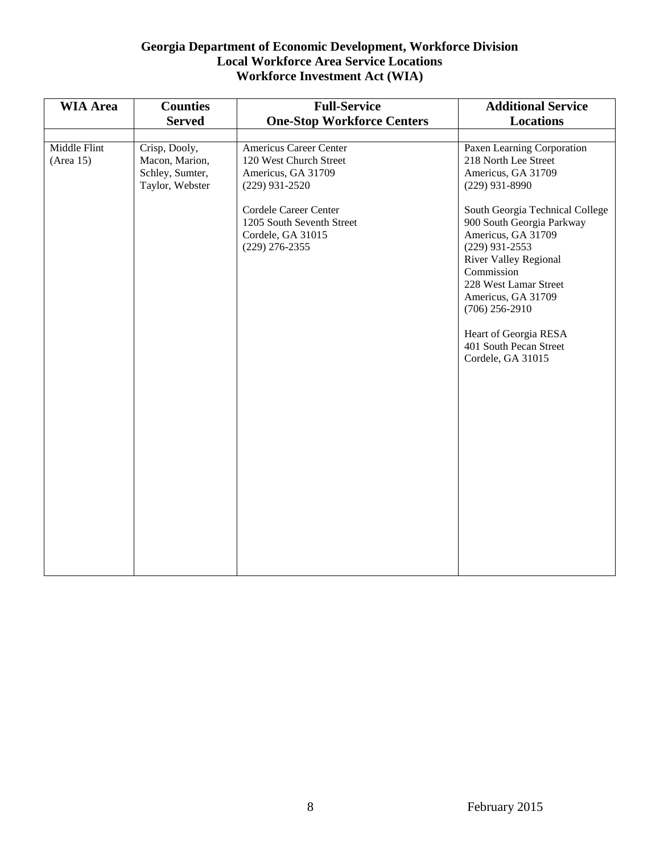| <b>WIA Area</b>           | <b>Counties</b><br><b>Served</b>                                      | <b>Full-Service</b><br><b>One-Stop Workforce Centers</b>                                                                                                | <b>Additional Service</b><br><b>Locations</b>                                                                                                                                    |
|---------------------------|-----------------------------------------------------------------------|---------------------------------------------------------------------------------------------------------------------------------------------------------|----------------------------------------------------------------------------------------------------------------------------------------------------------------------------------|
| Middle Flint<br>(Area 15) | Crisp, Dooly,<br>Macon, Marion,<br>Schley, Sumter,<br>Taylor, Webster | Americus Career Center<br>120 West Church Street<br>Americus, GA 31709<br>$(229)$ 931-2520<br><b>Cordele Career Center</b><br>1205 South Seventh Street | Paxen Learning Corporation<br>218 North Lee Street<br>Americus, GA 31709<br>$(229)$ 931-8990<br>South Georgia Technical College<br>900 South Georgia Parkway                     |
|                           |                                                                       | Cordele, GA 31015<br>$(229)$ 276-2355                                                                                                                   | Americus, GA 31709<br>$(229)$ 931-2553<br><b>River Valley Regional</b><br>Commission<br>228 West Lamar Street<br>Americus, GA 31709<br>$(706)$ 256-2910<br>Heart of Georgia RESA |
|                           |                                                                       |                                                                                                                                                         | 401 South Pecan Street<br>Cordele, GA 31015                                                                                                                                      |
|                           |                                                                       |                                                                                                                                                         |                                                                                                                                                                                  |
|                           |                                                                       |                                                                                                                                                         |                                                                                                                                                                                  |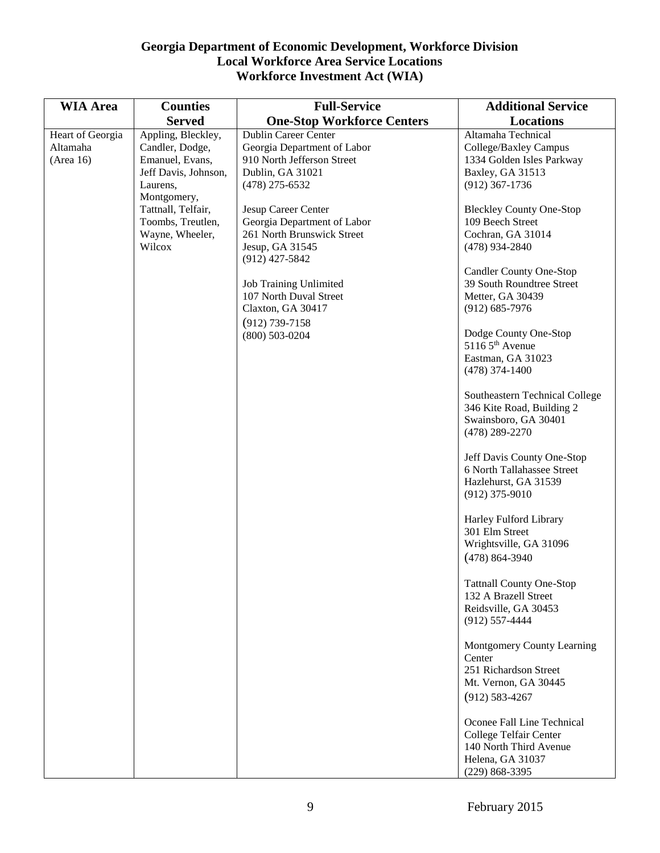| <b>WIA Area</b>  | <b>Counties</b>      | <b>Full-Service</b>               | <b>Additional Service</b>         |
|------------------|----------------------|-----------------------------------|-----------------------------------|
|                  |                      |                                   |                                   |
|                  | <b>Served</b>        | <b>One-Stop Workforce Centers</b> | <b>Locations</b>                  |
| Heart of Georgia | Appling, Bleckley,   | <b>Dublin Career Center</b>       | Altamaha Technical                |
| Altamaha         | Candler, Dodge,      | Georgia Department of Labor       | College/Baxley Campus             |
| (Area 16)        | Emanuel, Evans,      | 910 North Jefferson Street        | 1334 Golden Isles Parkway         |
|                  | Jeff Davis, Johnson, | Dublin, GA 31021                  | Baxley, GA 31513                  |
|                  | Laurens,             | $(478)$ 275-6532                  | $(912)$ 367-1736                  |
|                  | Montgomery,          |                                   |                                   |
|                  | Tattnall, Telfair,   | Jesup Career Center               | <b>Bleckley County One-Stop</b>   |
|                  | Toombs, Treutlen,    | Georgia Department of Labor       | 109 Beech Street                  |
|                  | Wayne, Wheeler,      | 261 North Brunswick Street        | Cochran, GA 31014                 |
|                  | Wilcox               | Jesup, GA 31545                   | $(478)$ 934-2840                  |
|                  |                      | $(912)$ 427-5842                  |                                   |
|                  |                      |                                   | <b>Candler County One-Stop</b>    |
|                  |                      | <b>Job Training Unlimited</b>     | 39 South Roundtree Street         |
|                  |                      | 107 North Duval Street            | Metter, GA 30439                  |
|                  |                      | Claxton, GA 30417                 | $(912) 685 - 7976$                |
|                  |                      | $(912)$ 739-7158                  |                                   |
|                  |                      | $(800)$ 503-0204                  | Dodge County One-Stop             |
|                  |                      |                                   | $51165^{\text{th}}$ Avenue        |
|                  |                      |                                   | Eastman, GA 31023                 |
|                  |                      |                                   | $(478)$ 374-1400                  |
|                  |                      |                                   |                                   |
|                  |                      |                                   | Southeastern Technical College    |
|                  |                      |                                   | 346 Kite Road, Building 2         |
|                  |                      |                                   | Swainsboro, GA 30401              |
|                  |                      |                                   | $(478)$ 289-2270                  |
|                  |                      |                                   |                                   |
|                  |                      |                                   | Jeff Davis County One-Stop        |
|                  |                      |                                   | 6 North Tallahassee Street        |
|                  |                      |                                   | Hazlehurst, GA 31539              |
|                  |                      |                                   | $(912)$ 375-9010                  |
|                  |                      |                                   |                                   |
|                  |                      |                                   | Harley Fulford Library            |
|                  |                      |                                   | 301 Elm Street                    |
|                  |                      |                                   | Wrightsville, GA 31096            |
|                  |                      |                                   | $(478) 864 - 3940$                |
|                  |                      |                                   |                                   |
|                  |                      |                                   | <b>Tattnall County One-Stop</b>   |
|                  |                      |                                   | 132 A Brazell Street              |
|                  |                      |                                   | Reidsville, GA 30453              |
|                  |                      |                                   | $(912)$ 557-4444                  |
|                  |                      |                                   |                                   |
|                  |                      |                                   | <b>Montgomery County Learning</b> |
|                  |                      |                                   | Center                            |
|                  |                      |                                   | 251 Richardson Street             |
|                  |                      |                                   | Mt. Vernon, GA 30445              |
|                  |                      |                                   | $(912) 583 - 4267$                |
|                  |                      |                                   |                                   |
|                  |                      |                                   | Oconee Fall Line Technical        |
|                  |                      |                                   | College Telfair Center            |
|                  |                      |                                   | 140 North Third Avenue            |
|                  |                      |                                   | Helena, GA 31037                  |
|                  |                      |                                   | $(229)$ 868-3395                  |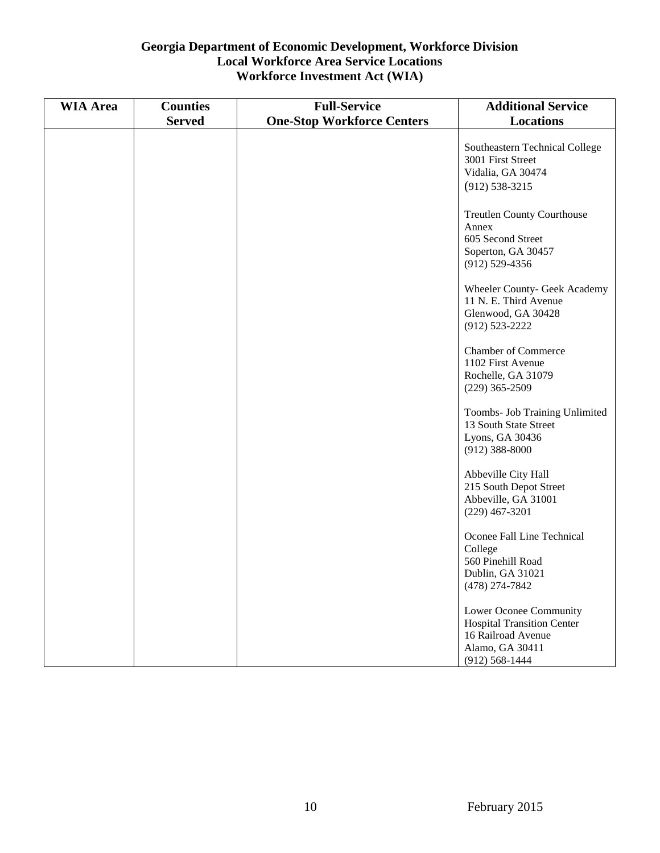| <b>WIA Area</b> | <b>Counties</b> | <b>Full-Service</b>               | <b>Additional Service</b>                                                                                                |
|-----------------|-----------------|-----------------------------------|--------------------------------------------------------------------------------------------------------------------------|
|                 | <b>Served</b>   | <b>One-Stop Workforce Centers</b> | <b>Locations</b>                                                                                                         |
|                 |                 |                                   | Southeastern Technical College<br>3001 First Street<br>Vidalia, GA 30474<br>$(912) 538 - 3215$                           |
|                 |                 |                                   | <b>Treutlen County Courthouse</b><br>Annex<br>605 Second Street<br>Soperton, GA 30457<br>$(912) 529 - 4356$              |
|                 |                 |                                   | Wheeler County- Geek Academy<br>11 N. E. Third Avenue<br>Glenwood, GA 30428<br>$(912) 523 - 2222$                        |
|                 |                 |                                   | <b>Chamber of Commerce</b><br>1102 First Avenue<br>Rochelle, GA 31079<br>$(229)$ 365-2509                                |
|                 |                 |                                   | Toombs- Job Training Unlimited<br>13 South State Street<br>Lyons, GA 30436<br>$(912)$ 388-8000                           |
|                 |                 |                                   | Abbeville City Hall<br>215 South Depot Street<br>Abbeville, GA 31001<br>$(229)$ 467-3201                                 |
|                 |                 |                                   | Oconee Fall Line Technical<br>College<br>560 Pinehill Road<br>Dublin, GA 31021<br>(478) 274-7842                         |
|                 |                 |                                   | Lower Oconee Community<br><b>Hospital Transition Center</b><br>16 Railroad Avenue<br>Alamo, GA 30411<br>$(912)$ 568-1444 |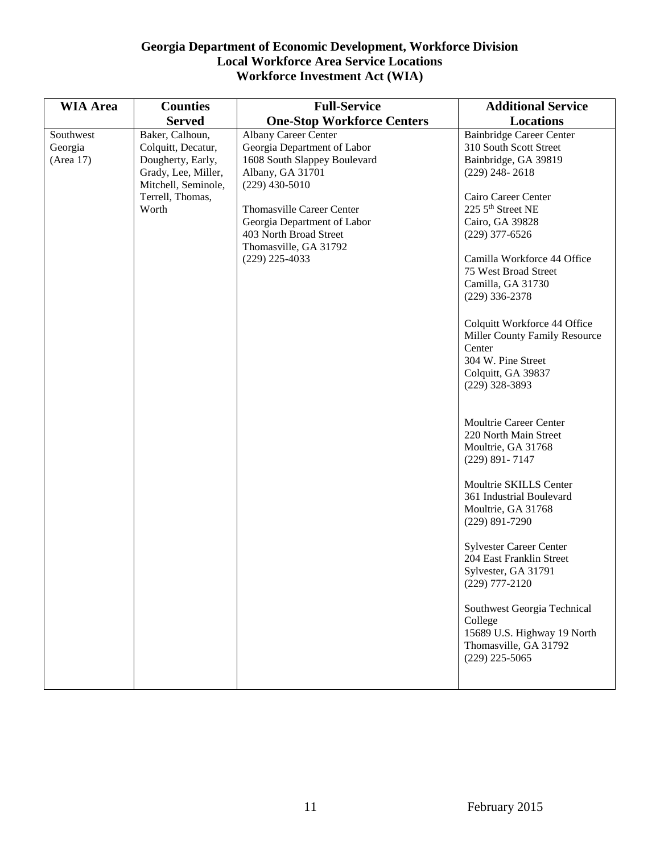| <b>WIA Area</b> | <b>Counties</b>     | <b>Full-Service</b>               | <b>Additional Service</b>       |
|-----------------|---------------------|-----------------------------------|---------------------------------|
|                 | <b>Served</b>       | <b>One-Stop Workforce Centers</b> | Locations                       |
| Southwest       | Baker, Calhoun,     | <b>Albany Career Center</b>       | <b>Bainbridge Career Center</b> |
| Georgia         | Colquitt, Decatur,  | Georgia Department of Labor       | 310 South Scott Street          |
| (Area 17)       | Dougherty, Early,   | 1608 South Slappey Boulevard      | Bainbridge, GA 39819            |
|                 | Grady, Lee, Miller, | Albany, GA 31701                  | $(229)$ 248-2618                |
|                 | Mitchell, Seminole, | $(229)$ 430-5010                  |                                 |
|                 | Terrell, Thomas,    |                                   | Cairo Career Center             |
|                 | Worth               | <b>Thomasville Career Center</b>  | 225 5 <sup>th</sup> Street NE   |
|                 |                     | Georgia Department of Labor       | Cairo, GA 39828                 |
|                 |                     | 403 North Broad Street            | $(229)$ 377-6526                |
|                 |                     | Thomasville, GA 31792             |                                 |
|                 |                     | $(229)$ 225-4033                  | Camilla Workforce 44 Office     |
|                 |                     |                                   | 75 West Broad Street            |
|                 |                     |                                   | Camilla, GA 31730               |
|                 |                     |                                   | $(229)$ 336-2378                |
|                 |                     |                                   |                                 |
|                 |                     |                                   | Colquitt Workforce 44 Office    |
|                 |                     |                                   | Miller County Family Resource   |
|                 |                     |                                   | Center                          |
|                 |                     |                                   | 304 W. Pine Street              |
|                 |                     |                                   | Colquitt, GA 39837              |
|                 |                     |                                   | $(229)$ 328-3893                |
|                 |                     |                                   |                                 |
|                 |                     |                                   |                                 |
|                 |                     |                                   | Moultrie Career Center          |
|                 |                     |                                   | 220 North Main Street           |
|                 |                     |                                   | Moultrie, GA 31768              |
|                 |                     |                                   | $(229)$ 891-7147                |
|                 |                     |                                   | Moultrie SKILLS Center          |
|                 |                     |                                   | 361 Industrial Boulevard        |
|                 |                     |                                   | Moultrie, GA 31768              |
|                 |                     |                                   | $(229)$ 891-7290                |
|                 |                     |                                   |                                 |
|                 |                     |                                   | <b>Sylvester Career Center</b>  |
|                 |                     |                                   | 204 East Franklin Street        |
|                 |                     |                                   | Sylvester, GA 31791             |
|                 |                     |                                   | $(229)$ 777-2120                |
|                 |                     |                                   | Southwest Georgia Technical     |
|                 |                     |                                   | College                         |
|                 |                     |                                   | 15689 U.S. Highway 19 North     |
|                 |                     |                                   | Thomasville, GA 31792           |
|                 |                     |                                   | $(229)$ 225-5065                |
|                 |                     |                                   |                                 |
|                 |                     |                                   |                                 |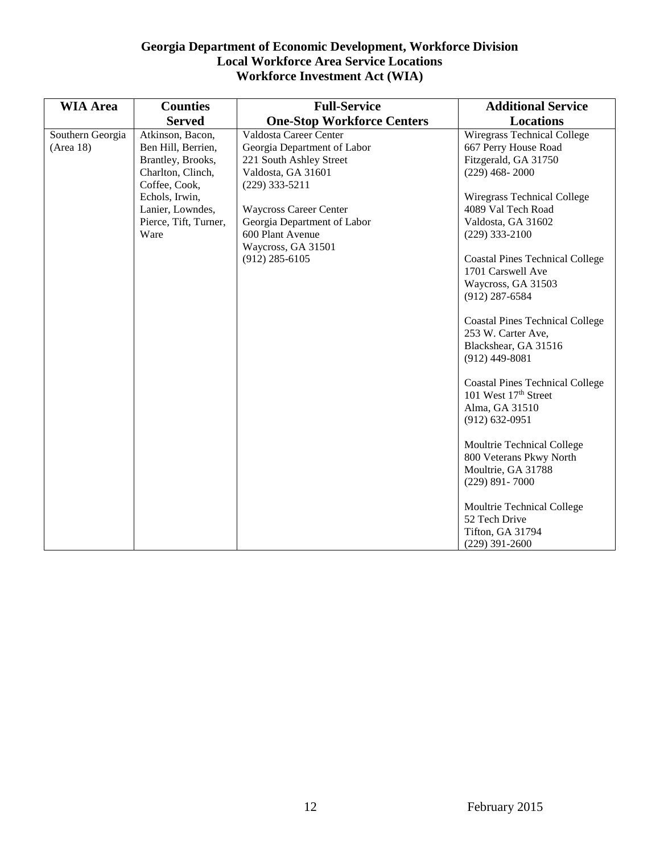| <b>WIA Area</b>               | <b>Counties</b>                                                                                                                                                          | <b>Full-Service</b>                                                                                                                                                                                                                                      | <b>Additional Service</b>                                                                                                                                                                                                                                                                                                                                                                                                                                                                                                                                                                                                                                                                                                                    |
|-------------------------------|--------------------------------------------------------------------------------------------------------------------------------------------------------------------------|----------------------------------------------------------------------------------------------------------------------------------------------------------------------------------------------------------------------------------------------------------|----------------------------------------------------------------------------------------------------------------------------------------------------------------------------------------------------------------------------------------------------------------------------------------------------------------------------------------------------------------------------------------------------------------------------------------------------------------------------------------------------------------------------------------------------------------------------------------------------------------------------------------------------------------------------------------------------------------------------------------------|
|                               | <b>Served</b>                                                                                                                                                            | <b>One-Stop Workforce Centers</b>                                                                                                                                                                                                                        | <b>Locations</b>                                                                                                                                                                                                                                                                                                                                                                                                                                                                                                                                                                                                                                                                                                                             |
| Southern Georgia<br>(Area 18) | Atkinson, Bacon,<br>Ben Hill, Berrien,<br>Brantley, Brooks,<br>Charlton, Clinch,<br>Coffee, Cook,<br>Echols, Irwin,<br>Lanier, Lowndes,<br>Pierce, Tift, Turner,<br>Ware | Valdosta Career Center<br>Georgia Department of Labor<br>221 South Ashley Street<br>Valdosta, GA 31601<br>$(229)$ 333-5211<br><b>Waycross Career Center</b><br>Georgia Department of Labor<br>600 Plant Avenue<br>Waycross, GA 31501<br>$(912)$ 285-6105 | <b>Wiregrass Technical College</b><br>667 Perry House Road<br>Fitzgerald, GA 31750<br>$(229)$ 468-2000<br>Wiregrass Technical College<br>4089 Val Tech Road<br>Valdosta, GA 31602<br>$(229)$ 333-2100<br><b>Coastal Pines Technical College</b><br>1701 Carswell Ave<br>Waycross, GA 31503<br>$(912)$ 287-6584<br><b>Coastal Pines Technical College</b><br>253 W. Carter Ave,<br>Blackshear, GA 31516<br>$(912)$ 449-8081<br><b>Coastal Pines Technical College</b><br>101 West 17 <sup>th</sup> Street<br>Alma, GA 31510<br>$(912) 632 - 0951$<br>Moultrie Technical College<br>800 Veterans Pkwy North<br>Moultrie, GA 31788<br>$(229)$ 891 - 7000<br>Moultrie Technical College<br>52 Tech Drive<br>Tifton, GA 31794<br>$(229)$ 391-2600 |